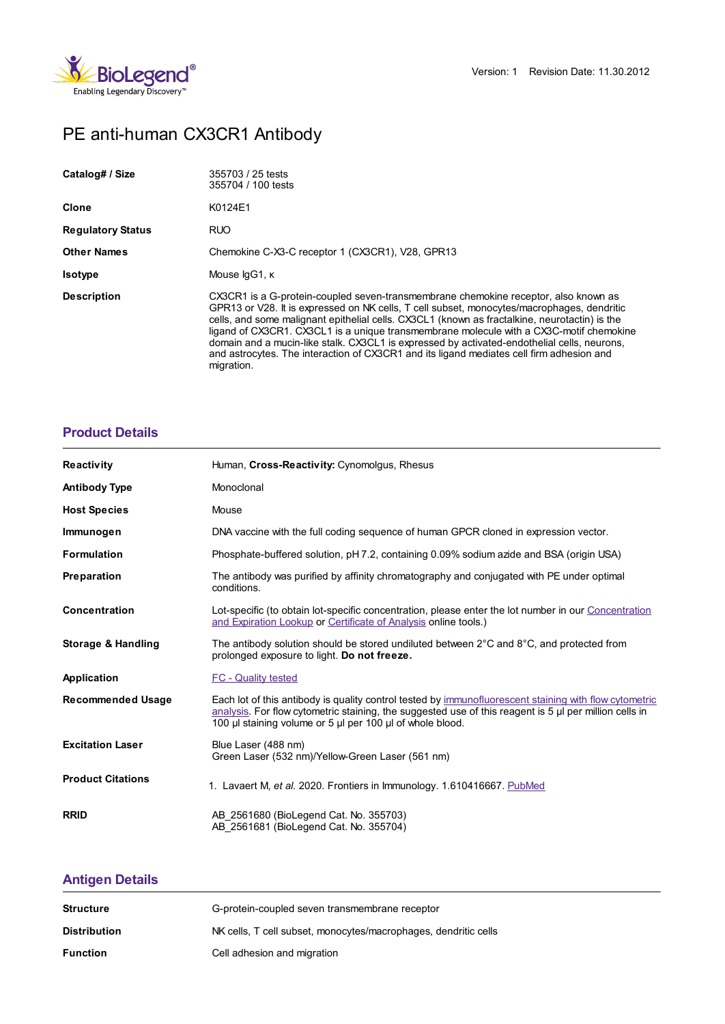

# PE anti-human CX3CR1 Antibody

| Catalog# / Size          | 355703 / 25 tests<br>355704 / 100 tests                                                                                                                                                                                                                                                                                                                                                                                                                                                                                                                                                |
|--------------------------|----------------------------------------------------------------------------------------------------------------------------------------------------------------------------------------------------------------------------------------------------------------------------------------------------------------------------------------------------------------------------------------------------------------------------------------------------------------------------------------------------------------------------------------------------------------------------------------|
| Clone                    | K0124E1                                                                                                                                                                                                                                                                                                                                                                                                                                                                                                                                                                                |
| <b>Regulatory Status</b> | <b>RUO</b>                                                                                                                                                                                                                                                                                                                                                                                                                                                                                                                                                                             |
| <b>Other Names</b>       | Chemokine C-X3-C receptor 1 (CX3CR1), V28, GPR13                                                                                                                                                                                                                                                                                                                                                                                                                                                                                                                                       |
| <b>Isotype</b>           | Mouse IgG1, K                                                                                                                                                                                                                                                                                                                                                                                                                                                                                                                                                                          |
| <b>Description</b>       | CX3CR1 is a G-protein-coupled seven-transmembrane chemokine receptor, also known as<br>GPR13 or V28. It is expressed on NK cells, T cell subset, monocytes/macrophages, dendritic<br>cells, and some malignant epithelial cells. CX3CL1 (known as fractalkine, neurotactin) is the<br>ligand of CX3CR1. CX3CL1 is a unique transmembrane molecule with a CX3C-motif chemokine<br>domain and a mucin-like stalk. CX3CL1 is expressed by activated-endothelial cells, neurons,<br>and astrocytes. The interaction of CX3CR1 and its ligand mediates cell firm adhesion and<br>migration. |

## **[Product](https://www.biolegend.com/de-at/products/pe-anti-human-cx3cr1-antibody-8280?pdf=true&displayInline=true&leftRightMargin=15&topBottomMargin=15&filename=PE anti-human CX3CR1 Antibody.pdf#productDetails) Details**

| <b>Reactivity</b>        | Human, Cross-Reactivity: Cynomolgus, Rhesus                                                                                                                                                                                                                                   |
|--------------------------|-------------------------------------------------------------------------------------------------------------------------------------------------------------------------------------------------------------------------------------------------------------------------------|
| <b>Antibody Type</b>     | Monoclonal                                                                                                                                                                                                                                                                    |
| <b>Host Species</b>      | Mouse                                                                                                                                                                                                                                                                         |
| Immunogen                | DNA vaccine with the full coding sequence of human GPCR cloned in expression vector.                                                                                                                                                                                          |
| <b>Formulation</b>       | Phosphate-buffered solution, pH 7.2, containing 0.09% sodium azide and BSA (origin USA)                                                                                                                                                                                       |
| Preparation              | The antibody was purified by affinity chromatography and conjugated with PE under optimal<br>conditions.                                                                                                                                                                      |
| <b>Concentration</b>     | Lot-specific (to obtain lot-specific concentration, please enter the lot number in our Concentration<br>and Expiration Lookup or Certificate of Analysis online tools.)                                                                                                       |
| Storage & Handling       | The antibody solution should be stored undiluted between $2^{\circ}$ C and $8^{\circ}$ C, and protected from<br>prolonged exposure to light. Do not freeze.                                                                                                                   |
| Application              | FC - Quality tested                                                                                                                                                                                                                                                           |
| <b>Recommended Usage</b> | Each lot of this antibody is quality control tested by immunofluorescent staining with flow cytometric<br>analysis. For flow cytometric staining, the suggested use of this reagent is 5 µl per million cells in<br>100 µl staining volume or 5 µl per 100 µl of whole blood. |
| <b>Excitation Laser</b>  | Blue Laser (488 nm)<br>Green Laser (532 nm)/Yellow-Green Laser (561 nm)                                                                                                                                                                                                       |
| <b>Product Citations</b> | 1. Lavaert M, et al. 2020. Frontiers in Immunology. 1.610416667. PubMed                                                                                                                                                                                                       |
| <b>RRID</b>              | AB 2561680 (BioLegend Cat. No. 355703)<br>AB 2561681 (BioLegend Cat. No. 355704)                                                                                                                                                                                              |

# **[Antigen](https://www.biolegend.com/de-at/products/pe-anti-human-cx3cr1-antibody-8280?pdf=true&displayInline=true&leftRightMargin=15&topBottomMargin=15&filename=PE anti-human CX3CR1 Antibody.pdf#antigenDetails) Details**

| <b>Structure</b>    | G-protein-coupled seven transmembrane receptor                  |
|---------------------|-----------------------------------------------------------------|
| <b>Distribution</b> | NK cells, T cell subset, monocytes/macrophages, dendritic cells |
| <b>Function</b>     | Cell adhesion and migration                                     |